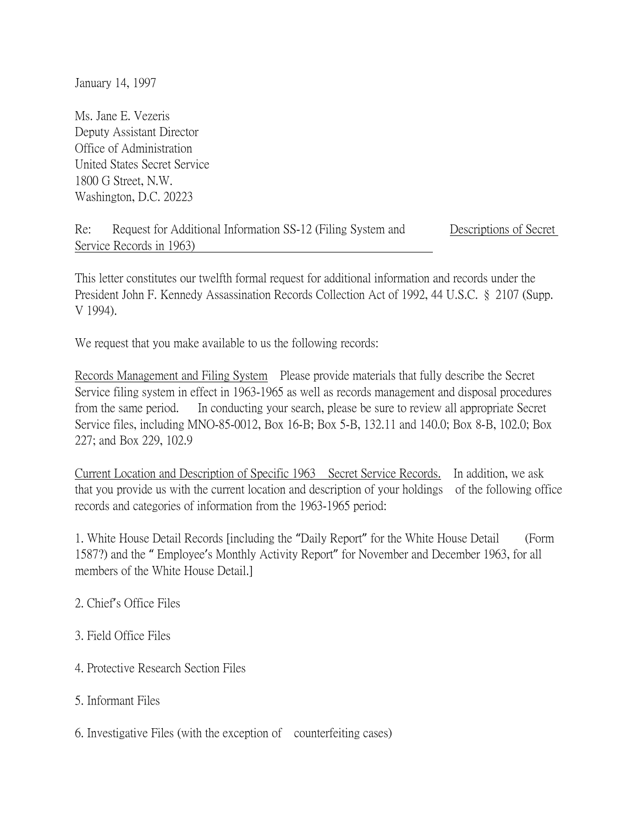January 14, 1997

Ms. Jane E. Vezeris Deputy Assistant Director Office of Administration United States Secret Service 1800 G Street, N.W. Washington, D.C. 20223

| Re: | Request for Additional Information SS-12 (Filing System and | Descriptions of Secret |
|-----|-------------------------------------------------------------|------------------------|
|     | Service Records in 1963)                                    |                        |

This letter constitutes our twelfth formal request for additional information and records under the President John F. Kennedy Assassination Records Collection Act of 1992, 44 U.S.C. § 2107 (Supp. V 1994).

We request that you make available to us the following records:

Records Management and Filing System Please provide materials that fully describe the Secret Service filing system in effect in 1963-1965 as well as records management and disposal procedures from the same period. In conducting your search, please be sure to review all appropriate Secret Service files, including MNO-85-0012, Box 16-B; Box 5-B, 132.11 and 140.0; Box 8-B, 102.0; Box 227; and Box 229, 102.9

Current Location and Description of Specific 1963 Secret Service Records. In addition, we ask that you provide us with the current location and description of your holdings of the following office records and categories of information from the 1963-1965 period:

1. White House Detail Records [including the "Daily Report" for the White House Detail (Form 1587?) and the " Employee's Monthly Activity Report" for November and December 1963, for all members of the White House Detail.]

## 2. Chief's Office Files

## 3. Field Office Files

- 4. Protective Research Section Files
- 5. Informant Files
- 6. Investigative Files (with the exception of counterfeiting cases)